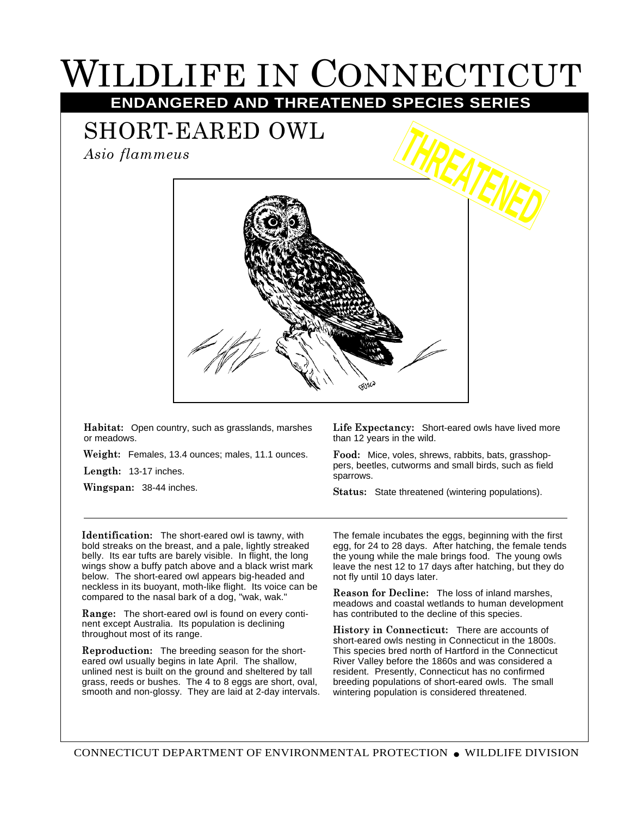## WILDLIFE IN CONNECTICUT **ENDANGERED AND THREATENED SPECIES SERIES**

SHORT-EARED OWL

*Asio flammeus*



**Habitat:** Open country, such as grasslands, marshes or meadows.

**Weight:** Females, 13.4 ounces; males, 11.1 ounces.

**Length:** 13-17 inches.

**Wingspan:** 38-44 inches.

**Life Expectancy:** Short-eared owls have lived more than 12 years in the wild.

**Food:** Mice, voles, shrews, rabbits, bats, grasshoppers, beetles, cutworms and small birds, such as field sparrows.

**Status:** State threatened (wintering populations).

**Identification:** The short-eared owl is tawny, with bold streaks on the breast, and a pale, lightly streaked belly. Its ear tufts are barely visible. In flight, the long wings show a buffy patch above and a black wrist mark below. The short-eared owl appears big-headed and neckless in its buoyant, moth-like flight. Its voice can be compared to the nasal bark of a dog, "wak, wak."

**Range:** The short-eared owl is found on every continent except Australia. Its population is declining throughout most of its range.

**Reproduction:** The breeding season for the shorteared owl usually begins in late April. The shallow, unlined nest is built on the ground and sheltered by tall grass, reeds or bushes. The 4 to 8 eggs are short, oval, smooth and non-glossy. They are laid at 2-day intervals. The female incubates the eggs, beginning with the first egg, for 24 to 28 days. After hatching, the female tends the young while the male brings food. The young owls leave the nest 12 to 17 days after hatching, but they do not fly until 10 days later.

**Reason for Decline:** The loss of inland marshes, meadows and coastal wetlands to human development has contributed to the decline of this species.

**History in Connecticut:** There are accounts of short-eared owls nesting in Connecticut in the 1800s. This species bred north of Hartford in the Connecticut River Valley before the 1860s and was considered a resident. Presently, Connecticut has no confirmed breeding populations of short-eared owls. The small wintering population is considered threatened.